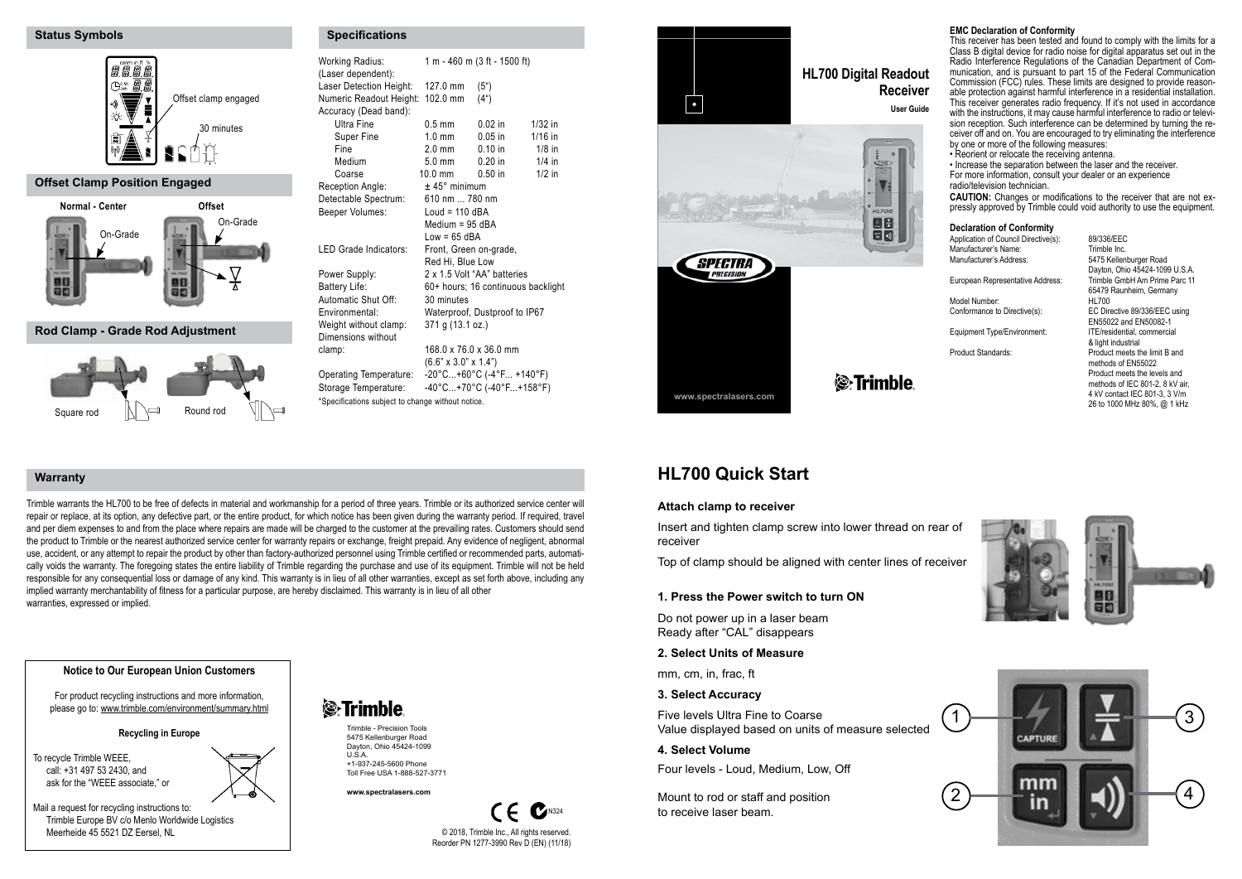### **Status Symbols**



# **Offset Clamp Position Engaged**



## **Rod Clamp - Grade Rod Adjustment**



| <b>Working Radius:</b><br>(Laser dependent):              | 1 m - 460 m (3 ft - 1500 ft)     |                                    |           |
|-----------------------------------------------------------|----------------------------------|------------------------------------|-----------|
| Laser Detection Height:                                   | $127.0 \text{ mm}$               | (5 <sup>u</sup> )                  |           |
| Numeric Readout Height: 102.0 mm<br>Accuracy (Dead band): |                                  | (4 <sup>n</sup> )                  |           |
| Ultra Fine                                                | $0.5$ mm                         | $0.02$ in                          | $1/32$ in |
| Super Fine                                                | $1.0 \text{ mm}$                 | $0.05$ in                          | $1/16$ in |
| Fine                                                      | $2.0$ mm                         | $0.10$ in                          | $1/8$ in  |
| Medium                                                    | $5.0 \text{ mm}$                 | $0.20$ in                          | $1/4$ in  |
| Coarse                                                    | $10.0$ mm                        | $0.50$ in                          | $1/2$ in  |
| Reception Angle:                                          | $±$ 45 $^{\circ}$ minimum        |                                    |           |
| Detectable Spectrum:                                      | 610 nm  780 nm                   |                                    |           |
| Beeper Volumes:                                           | Loud = $110$ dBA                 |                                    |           |
|                                                           | Medium = $95$ dBA                |                                    |           |
|                                                           | $Low = 65$ dBA                   |                                    |           |
| LED Grade Indicators:                                     | Front, Green on-grade,           |                                    |           |
|                                                           | Red Hi. Blue Low                 |                                    |           |
| Power Supply:                                             |                                  | 2 x 1.5 Volt "AA" batteries        |           |
| Battery Life:                                             |                                  | 60+ hours; 16 continuous backlight |           |
| Automatic Shut Off:                                       | 30 minutes                       |                                    |           |
| Environmental:                                            |                                  | Waterproof, Dustproof to IP67      |           |
| Weight without clamp:                                     | 371 g (13.1 oz.)                 |                                    |           |
| Dimensions without                                        |                                  |                                    |           |
| clamp:                                                    | 168.0 x 76.0 x 36.0 mm           |                                    |           |
|                                                           | $(6.6" \times 3.0" \times 1.4")$ |                                    |           |
| Operating Temperature:                                    |                                  | $-20^{\circ}$ C+60°C (-4°F +140°F) |           |
| Storage Temperature:                                      |                                  | $-40^{\circ}$ C+70°C (-40°F+158°F) |           |
| *Specifications subject to change without notice.         |                                  |                                    |           |

**Specifications**



# **HL700 Quick Start**

## **Attach clamp to receiver**

**www.spectralasers.com**

Insert and tighten clamp screw into lower thread on rear of receiver

**& Trimble** 

Top of clamp should be aligned with center lines of receiver

**1. Press the Power switch to turn ON**

Do not power up in a laser beam Ready after "CAL" disappears

## **2. Select Units of Measure**

mm, cm, in, frac, ft

# **3. Select Accuracy**

Five levels Ultra Fine to Coarse Value displayed based on units of measure selected

# **4. Select Volume**

Four levels - Loud, Medium, Low, Off

Mount to rod or staff and position to receive laser beam.

# **EMC Declaration of Conformity**

This receiver has been tested and found to comply with the limits for a Class B digital device for radio noise for digital apparatus set out in the Radio Interference Regulations of the Canadian Department of Communication, and is pursuant to part 15 of the Federal Communication Commission (FCC) rules. These limits are designed to provide reasonable protection against harmful interference in a residential installation. This receiver generates radio frequency. If it's not used in accordance with the instructions, it may cause harmful interference to radio or television reception. Such interference can be determined by turning the receiver off and on. You are encouraged to try eliminating the interference by one or more of the following measures:

• Reorient or relocate the receiving antenna.

• Increase the separation between the laser and the receiver. For more information, consult your dealer or an experience

radio/television technician.<br>CAUTION: Changes or modifications to the receiver that are not expressly approved by Trimble could void authority to use the equipment.

#### **Declaration of Conformity**

| Application of Council Directive(s): | 89/336/EEC                      |
|--------------------------------------|---------------------------------|
| Manufacturer's Name:                 | Trimble Inc.                    |
| Manufacturer's Address:              | 5475 Kellenburger Road          |
|                                      | Dayton, Ohio 45424-1099 U.S.A.  |
| European Representative Address:     | Trimble GmbH Am Prime Parc 11   |
|                                      | 65479 Raunheim, Germany         |
| Model Number:                        | HL700                           |
| Conformance to Directive(s):         | EC Directive 89/336/EEC using   |
|                                      | EN55022 and EN50082-1           |
| Equipment Type/Environment:          | ITE/residential, commercial     |
|                                      | & light industrial              |
| Product Standards:                   | Product meets the limit B and   |
|                                      | methods of EN55022              |
|                                      | Product meets the levels and    |
|                                      | methods of IEC 801-2, 8 kV air, |
|                                      | 4 kV contact IEC 801-3, 3 V/m   |
|                                      | 26 to 1000 MHz 80%, @ 1 kHz     |
|                                      |                                 |







#### **Notice to Our European Union Customers**

For product recycling instructions and more information, please go to: www.trimble.com/environment/summary.html

#### **Recycling in Europe**

To recycle Trimble WEEE, call: +31 497 53 2430, and ask for the "WEEE associate," or

warranties, expressed or implied.

**Warranty**

Mail a request for recycling instructions to: Trimble Europe BV c/o Menlo Worldwide Logistics Meerheide 45 5521 DZ Fersel, NL



Trimble warrants the HL700 to be free of defects in material and workmanship for a period of three years. Trimble or its authorized service center will repair or replace, at its option, any defective part, or the entire product, for which notice has been given during the warranty period. If required, travel and per diem expenses to and from the place where repairs are made will be charged to the customer at the prevailing rates. Customers should send the product to Trimble or the nearest authorized service center for warranty repairs or exchange, freight prepaid. Any evidence of negligent, abnormal use, accident, or any attempt to repair the product by other than factory-authorized personnel using Trimble certified or recommended parts, automatically voids the warranty. The foregoing states the entire liability of Trimble regarding the purchase and use of its equipment. Trimble will not be held responsible for any consequential loss or damage of any kind. This warranty is in lieu of all other warranties, except as set forth above, including any

implied warranty merchantability of fitness for a particular purpose, are hereby disclaimed. This warranty is in lieu of all other

Trimble - Precision Tools 5475 Kellenburger Road Dayton, Ohio 45424-1099  $U.S.A$ +1-937-245-5600 Phone

Toll Free USA 1-888-527-3771 **www.spectralasers.com**